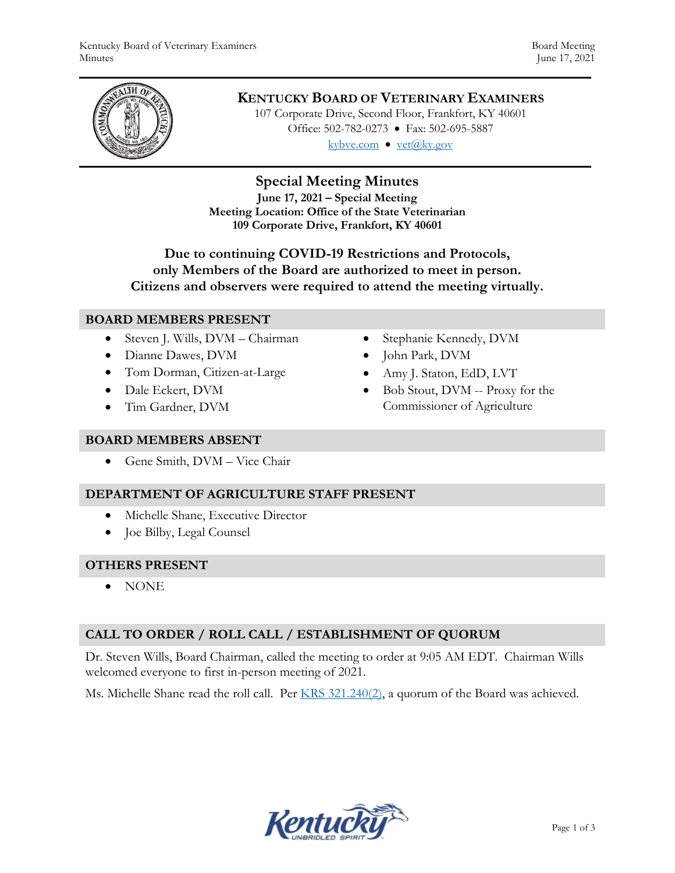

# **KENTUCKY BOARD OF VETERINARY EXAMINERS**

107 Corporate Drive, Second Floor, Frankfort, KY 40601 Office: 502-782-0273 • Fax: 502-695-5887 kybve.com  $\bullet$  yet $(\partial_k ky.gov)$ 

# **Special Meeting Minutes**

**June 17, 2021 – Special Meeting Meeting Location: Office of the State Veterinarian 109 Corporate Drive, Frankfort, KY 40601**

## **Due to continuing COVID-19 Restrictions and Protocols, only Members of the Board are authorized to meet in person. Citizens and observers were required to attend the meeting virtually.**

### **BOARD MEMBERS PRESENT**

- Steven J. Wills, DVM Chairman
- Dianne Dawes, DVM
- Tom Dorman, Citizen-at-Large
- Dale Eckert, DVM
- Tim Gardner, DVM
- Stephanie Kennedy, DVM
- John Park, DVM
- Amy J. Staton, EdD, LVT
- Bob Stout, DVM -- Proxy for the Commissioner of Agriculture

#### **BOARD MEMBERS ABSENT**

Gene Smith, DVM – Vice Chair

### **DEPARTMENT OF AGRICULTURE STAFF PRESENT**

- Michelle Shane, Executive Director
- Joe Bilby, Legal Counsel

#### **OTHERS PRESENT**

NONE

## **CALL TO ORDER / ROLL CALL / ESTABLISHMENT OF QUORUM**

Dr. Steven Wills, Board Chairman, called the meeting to order at 9:05 AM EDT. Chairman Wills welcomed everyone to first in-person meeting of 2021.

Ms. Michelle Shane read the roll call. Per  $KRS$  321.240(2), a quorum of the Board was achieved.

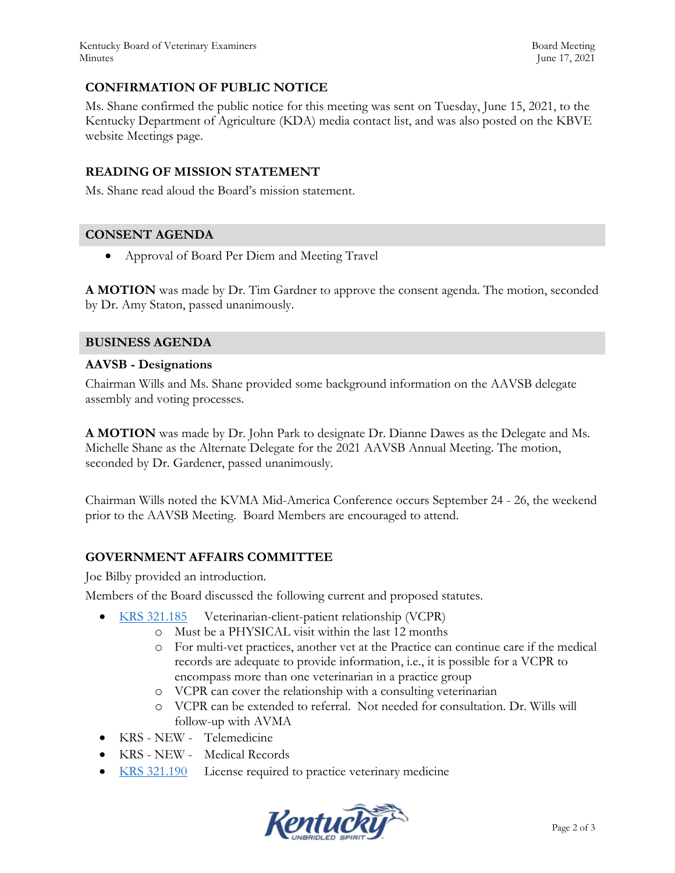Kentucky Board of Veterinary Examiners **Board Meeting** Board Meeting Minutes June 17, 2021

## **CONFIRMATION OF PUBLIC NOTICE**

Ms. Shane confirmed the public notice for this meeting was sent on Tuesday, June 15, 2021, to the Kentucky Department of Agriculture (KDA) media contact list, and was also posted on the KBVE website Meetings page.

#### **READING OF MISSION STATEMENT**

Ms. Shane read aloud the Board's mission statement.

#### **CONSENT AGENDA**

Approval of Board Per Diem and Meeting Travel

**A MOTION** was made by Dr. Tim Gardner to approve the consent agenda. The motion, seconded by Dr. Amy Staton, passed unanimously.

#### **BUSINESS AGENDA**

#### **AAVSB - Designations**

Chairman Wills and Ms. Shane provided some background information on the AAVSB delegate assembly and voting processes.

**A MOTION** was made by Dr. John Park to designate Dr. Dianne Dawes as the Delegate and Ms. Michelle Shane as the Alternate Delegate for the 2021 AAVSB Annual Meeting. The motion, seconded by Dr. Gardener, passed unanimously.

Chairman Wills noted the KVMA Mid-America Conference occurs September 24 - 26, the weekend prior to the AAVSB Meeting. Board Members are encouraged to attend.

### **GOVERNMENT AFFAIRS COMMITTEE**

Joe Bilby provided an introduction.

Members of the Board discussed the following current and proposed statutes.

- [KRS 321.185](https://apps.legislature.ky.gov/law/statutes/statute.aspx?id=50450) Veterinarian-client-patient relationship (VCPR)
	- o Must be a PHYSICAL visit within the last 12 months
	- o For multi-vet practices, another vet at the Practice can continue care if the medical records are adequate to provide information, i.e., it is possible for a VCPR to encompass more than one veterinarian in a practice group
	- o VCPR can cover the relationship with a consulting veterinarian
	- o VCPR can be extended to referral. Not needed for consultation. Dr. Wills will follow-up with AVMA
- KRS NEW Telemedicine
- KRS NEW Medical Records
- [KRS 321.190](https://apps.legislature.ky.gov/law/statutes/statute.aspx?id=45323) License required to practice veterinary medicine

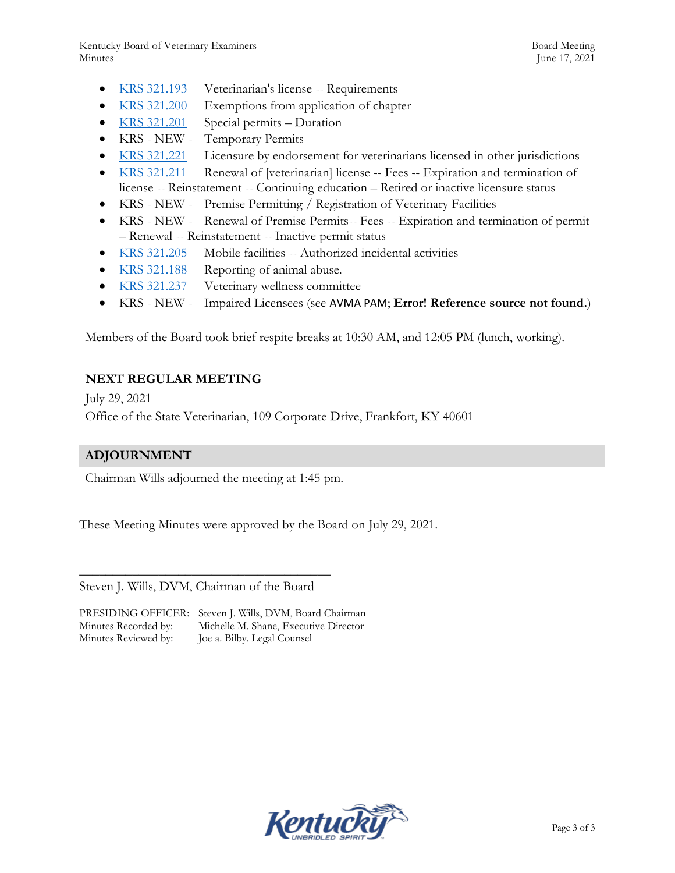- [KRS 321.193](https://apps.legislature.ky.gov/law/statutes/statute.aspx?id=45324) Veterinarian's license -- Requirements
- [KRS 321.200](https://apps.legislature.ky.gov/law/statutes/statute.aspx?id=45325) Exemptions from application of chapter
- [KRS 321.201](https://apps.legislature.ky.gov/law/statutes/statute.aspx?id=45326) Special permits Duration
- KRS NEW Temporary Permits
- [KRS 321.221](https://apps.legislature.ky.gov/law/statutes/statute.aspx?id=31387) Licensure by endorsement for veterinarians licensed in other jurisdictions
- [KRS 321.211](https://apps.legislature.ky.gov/law/statutes/statute.aspx?id=45328) Renewal of [veterinarian] license -- Fees -- Expiration and termination of license -- Reinstatement -- Continuing education – Retired or inactive licensure status
- KRS NEW Premise Permitting / Registration of Veterinary Facilities
- KRS NEW Renewal of Premise Permits-- Fees -- Expiration and termination of permit – Renewal -- Reinstatement -- Inactive permit status
- [KRS 321.205](https://apps.legislature.ky.gov/law/statutes/statute.aspx?id=31382) Mobile facilities -- Authorized incidental activities
- [KRS 321.188](https://apps.legislature.ky.gov/law/statutes/statute.aspx?id=50449) Reporting of animal abuse.
- [KRS 321.237](https://apps.legislature.ky.gov/law/statutes/statute.aspx?id=45332) Veterinary wellness committee
- KRS NEW Impaired Licensees (see [AVMA PAM](https://www.avma.org/sites/default/files/2021-01/model-veterinary-practice-act.pdf); **Error! Reference source not found.**)

Members of the Board took brief respite breaks at 10:30 AM, and 12:05 PM (lunch, working).

## **NEXT REGULAR MEETING**

July 29, 2021 Office of the State Veterinarian, 109 Corporate Drive, Frankfort, KY 40601

## **ADJOURNMENT**

Chairman Wills adjourned the meeting at 1:45 pm.

These Meeting Minutes were approved by the Board on July 29, 2021.

Steven J. Wills, DVM, Chairman of the Board

\_\_\_\_\_\_\_\_\_\_\_\_\_\_\_\_\_\_\_\_\_\_\_\_\_\_\_\_\_\_\_\_\_\_\_\_\_\_

PRESIDING OFFICER: Steven J. Wills, DVM, Board Chairman Minutes Recorded by: Michelle M. Shane, Executive Director Minutes Reviewed by: Joe a. Bilby. Legal Counsel

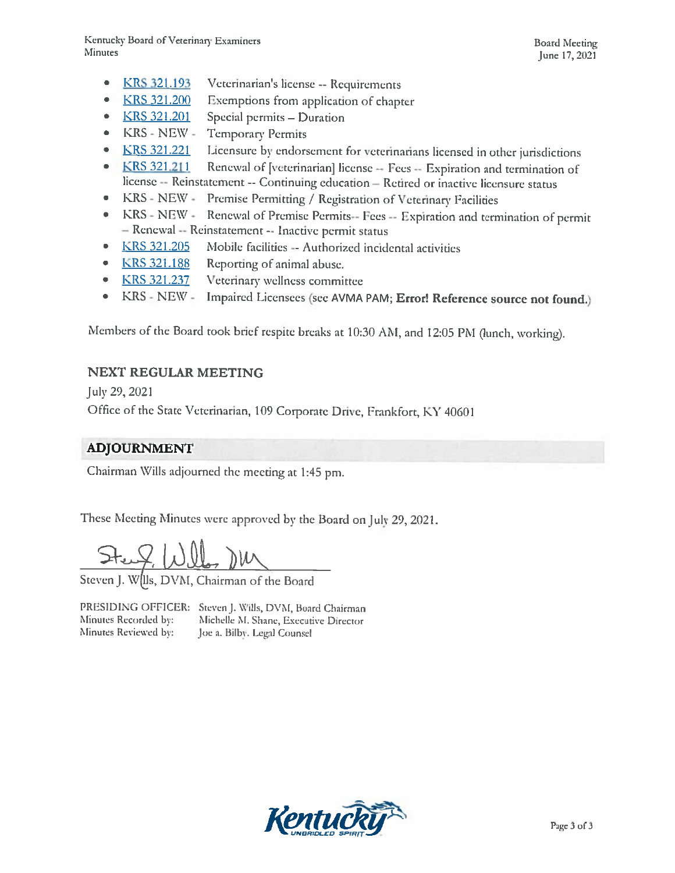- $\bullet$ **KRS 321.193** Veterinarian's license -- Requirements
- Exemptions from application of chapter  $\bullet$ **KRS 321.200**
- $\bullet$ **KRS 321.201** Special permits - Duration
- KRS NEW - $\bullet$ **Temporary Permits**
- Licensure by endorsement for veterinarians licensed in other jurisdictions  $\bullet$ **KRS 321.221**
- KRS 321.211 Renewal of [veterinarian] license -- Fees -- Expiration and termination of  $\bullet$ license -- Reinstatement -- Continuing education -- Retired or inactive licensure status
- $\bullet$ KRS - NEW -Premise Permitting / Registration of Veterinary Facilities
- Renewal of Premise Permits-- Fees -- Expiration and termination of permit  $KRS - NEW \bullet$ - Renewal -- Reinstatement -- Inactive permit status
- KRS 321.205 Mobile facilities -- Authorized incidental activities  $\bullet$
- **KRS 321.188**  $\bullet$ Reporting of animal abuse.
- **KRS 321.237**  $\bullet$ Veterinary wellness committee
- $KRS NEW -$ Impaired Licensees (see AVMA PAM; Error! Reference source not found.)  $\bullet$

Members of the Board took brief respite breaks at 10:30 AM, and 12:05 PM (lunch, working).

# **NEXT REGULAR MEETING**

July 29, 2021

Office of the State Veterinarian, 109 Corporate Drive, Frankfort, KY 40601

# ADJOURNMENT

Chairman Wills adjourned the meeting at 1:45 pm.

These Meeting Minutes were approved by the Board on July 29, 2021.

Steven J. W. Ils, DVM, Chairman of the Board

PRESIDING OFFICER: Steven J. Wills, DVM, Board Chairman Minutes Recorded by: Michelle M. Shane, Executive Director Minutes Reviewed by: Joe a. Bilby. Legal Counsel

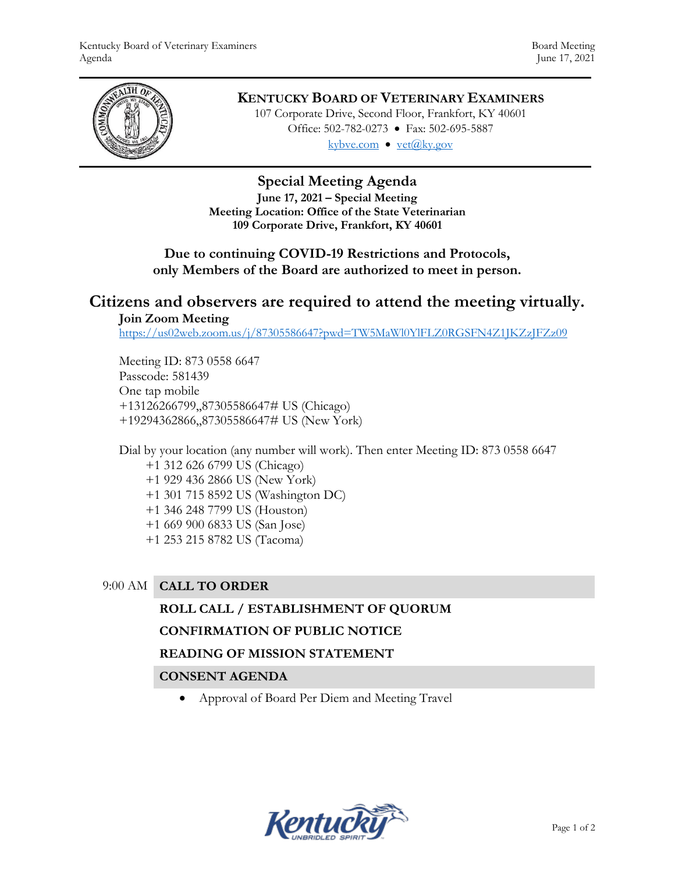

# **KENTUCKY BOARD OF VETERINARY EXAMINERS**

107 Corporate Drive, Second Floor, Frankfort, KY 40601 Office: 502-782-0273 • Fax: 502-695-5887 kybve.com  $\bullet$  yet $(\partial_k ky.gov)$ 

# **Special Meeting Agenda**

**June 17, 2021 – Special Meeting Meeting Location: Office of the State Veterinarian 109 Corporate Drive, Frankfort, KY 40601**

# **Due to continuing COVID-19 Restrictions and Protocols, only Members of the Board are authorized to meet in person.**

# **Citizens and observers are required to attend the meeting virtually. Join Zoom Meeting**

<https://us02web.zoom.us/j/87305586647?pwd=TW5MaWl0YlFLZ0RGSFN4Z1JKZzJFZz09>

Meeting ID: 873 0558 6647 Passcode: 581439 One tap mobile +13126266799,,87305586647# US (Chicago) +19294362866,,87305586647# US (New York)

Dial by your location (any number will work). Then enter Meeting ID: 873 0558 6647 +1 312 626 6799 US (Chicago) +1 929 436 2866 US (New York) +1 301 715 8592 US (Washington DC) +1 346 248 7799 US (Houston) +1 669 900 6833 US (San Jose) +1 253 215 8782 US (Tacoma)

## 9:00 AM **CALL TO ORDER**

### **ROLL CALL / ESTABLISHMENT OF QUORUM**

### **CONFIRMATION OF PUBLIC NOTICE**

### **READING OF MISSION STATEMENT**

### **CONSENT AGENDA**

Approval of Board Per Diem and Meeting Travel